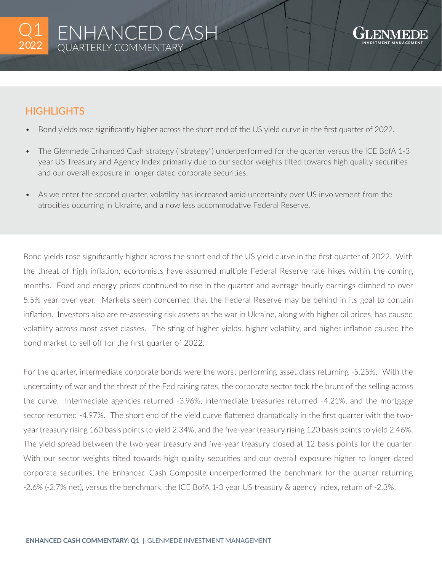

## **HIGHLIGHTS**

- Bond yields rose significantly higher across the short end of the US yield curve in the first quarter of 2022.
- The Glenmede Enhanced Cash strategy ("strategy") underperformed for the quarter versus the ICE BofA 1-3 year US Treasury and Agency Index primarily due to our sector weights tilted towards high quality securities and our overall exposure in longer dated corporate securities.
- As we enter the second quarter, volatility has increased amid uncertainty over US involvement from the atrocities occurring in Ukraine, and a now less accommodative Federal Reserve.

Bond yields rose significantly higher across the short end of the US yield curve in the first quarter of 2022. With the threat of high inflation, economists have assumed multiple Federal Reserve rate hikes within the coming months. Food and energy prices continued to rise in the quarter and average hourly earnings climbed to over 5.5% year over year. Markets seem concerned that the Federal Reserve may be behind in its goal to contain inflation. Investors also are re-assessing risk assets as the war in Ukraine, along with higher oil prices, has caused volatility across most asset classes. The sting of higher yields, higher volatility, and higher inflation caused the bond market to sell off for the first quarter of 2022.

For the quarter, intermediate corporate bonds were the worst performing asset class returning -5.25%. With the uncertainty of war and the threat of the Fed raising rates, the corporate sector took the brunt of the selling across the curve. Intermediate agencies returned -3.96%, intermediate treasuries returned -4.21%, and the mortgage sector returned -4.97%. The short end of the yield curve flattened dramatically in the first quarter with the twoyear treasury rising 160 basis points to yield 2.34%, and the five-year treasury rising 120 basis points to yield 2.46%. The yield spread between the two-year treasury and five-year treasury closed at 12 basis points for the quarter. With our sector weights tilted towards high quality securities and our overall exposure higher to longer dated corporate securities, the Enhanced Cash Composite underperformed the benchmark for the quarter returning -2.6% (-2.7% net), versus the benchmark, the ICE BofA 1-3 year US treasury & agency Index, return of -2.3%.